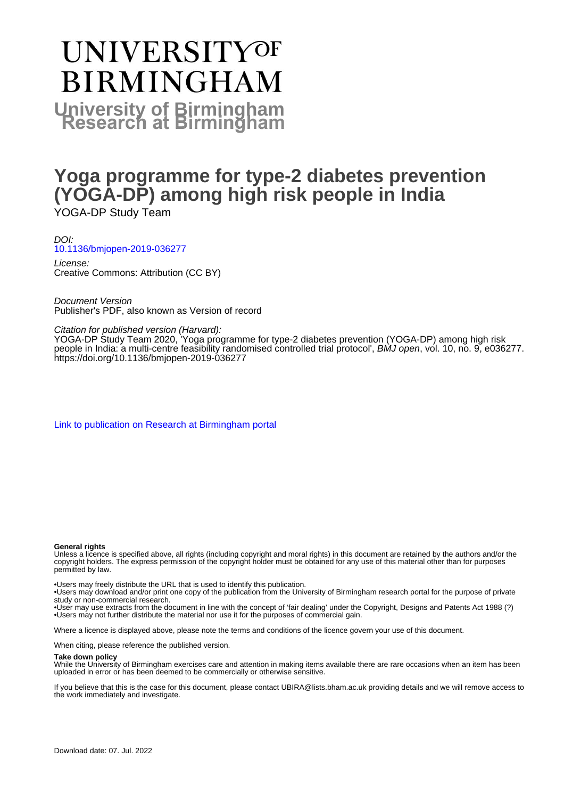# **UNIVERSITYOF BIRMINGHAM University of Birmingham**

# **Yoga programme for type-2 diabetes prevention (YOGA-DP) among high risk people in India**

YOGA-DP Study Team

DOI: [10.1136/bmjopen-2019-036277](https://doi.org/10.1136/bmjopen-2019-036277)

License: Creative Commons: Attribution (CC BY)

Document Version Publisher's PDF, also known as Version of record

#### Citation for published version (Harvard):

YOGA-DP Study Team 2020, 'Yoga programme for type-2 diabetes prevention (YOGA-DP) among high risk people in India: a multi-centre feasibility randomised controlled trial protocol', BMJ open, vol. 10, no. 9, e036277. <https://doi.org/10.1136/bmjopen-2019-036277>

[Link to publication on Research at Birmingham portal](https://birmingham.elsevierpure.com/en/publications/3b84198a-26c5-4aac-8073-41564e15584c)

#### **General rights**

Unless a licence is specified above, all rights (including copyright and moral rights) in this document are retained by the authors and/or the copyright holders. The express permission of the copyright holder must be obtained for any use of this material other than for purposes permitted by law.

• Users may freely distribute the URL that is used to identify this publication.

• Users may download and/or print one copy of the publication from the University of Birmingham research portal for the purpose of private study or non-commercial research.

• User may use extracts from the document in line with the concept of 'fair dealing' under the Copyright, Designs and Patents Act 1988 (?) • Users may not further distribute the material nor use it for the purposes of commercial gain.

Where a licence is displayed above, please note the terms and conditions of the licence govern your use of this document.

When citing, please reference the published version.

#### **Take down policy**

While the University of Birmingham exercises care and attention in making items available there are rare occasions when an item has been uploaded in error or has been deemed to be commercially or otherwise sensitive.

If you believe that this is the case for this document, please contact UBIRA@lists.bham.ac.uk providing details and we will remove access to the work immediately and investigate.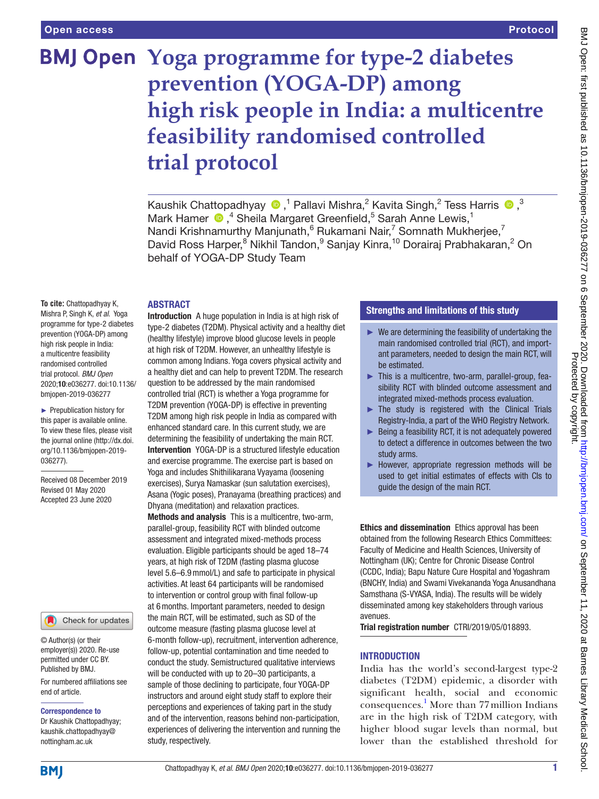# **BMJ Open Yoga programme for type-2 diabetes prevention (YOGA-DP) among high risk people in India: a multicentre feasibility randomised controlled trial protocol**

KaushikChattopadhyay  $\bigcirc$ ,<sup>1</sup> Pallavi Mishra,<sup>2</sup> Kavita Singh,<sup>2</sup> Tess Harris  $\bigcirc$ ,<sup>3</sup> Mark Hamer  $\bigcirc$ , <sup>4</sup> Sheila Margaret Greenfield, <sup>5</sup> Sarah Anne Lewis, <sup>1</sup> Nandi Krishnamurthy Manjunath, <sup>6</sup> Rukamani Nair, <sup>7</sup> Somnath Mukherjee, <sup>7</sup> David Ross Harper,<sup>8</sup> Nikhil Tandon,<sup>9</sup> Sanjay Kinra,<sup>10</sup> Dorairaj Prabhakaran,<sup>2</sup> On behalf of YOGA-DP Study Team

#### **ABSTRACT**

**To cite:** Chattopadhyay K, Mishra P, Singh K, *et al*. Yoga programme for type-2 diabetes prevention (YOGA-DP) among high risk people in India: a multicentre feasibility randomised controlled trial protocol. *BMJ Open* 2020;10:e036277. doi:10.1136/ bmjopen-2019-036277

► Prepublication history for this paper is available online. To view these files, please visit the journal online (http://dx.doi. org/10.1136/bmjopen-2019- 036277).

Received 08 December 2019 Revised 01 May 2020 Accepted 23 June 2020

#### Check for updates

© Author(s) (or their employer(s)) 2020. Re-use permitted under CC BY. Published by BMJ.

For numbered affiliations see end of article.

#### Correspondence to

Dr Kaushik Chattopadhyay; kaushik.chattopadhyay@ nottingham.ac.uk

Introduction A huge population in India is at high risk of type-2 diabetes (T2DM). Physical activity and a healthy diet (healthy lifestyle) improve blood glucose levels in people at high risk of T2DM. However, an unhealthy lifestyle is common among Indians. Yoga covers physical activity and a healthy diet and can help to prevent T2DM. The research question to be addressed by the main randomised controlled trial (RCT) is whether a Yoga programme for T2DM prevention (YOGA-DP) is effective in preventing T2DM among high risk people in India as compared with enhanced standard care. In this current study, we are determining the feasibility of undertaking the main RCT. Intervention YOGA-DP is a structured lifestyle education and exercise programme. The exercise part is based on Yoga and includes Shithilikarana Vyayama (loosening exercises), Surya Namaskar (sun salutation exercises), Asana (Yogic poses), Pranayama (breathing practices) and Dhyana (meditation) and relaxation practices. Methods and analysis This is a multicentre, two-arm, parallel-group, feasibility RCT with blinded outcome assessment and integrated mixed-methods process evaluation. Eligible participants should be aged 18–74 years, at high risk of T2DM (fasting plasma glucose level 5.6–6.9mmol/L) and safe to participate in physical activities. At least 64 participants will be randomised to intervention or control group with final follow-up at 6months. Important parameters, needed to design the main RCT, will be estimated, such as SD of the outcome measure (fasting plasma glucose level at 6-month follow-up), recruitment, intervention adherence, follow-up, potential contamination and time needed to conduct the study. Semistructured qualitative interviews will be conducted with up to 20–30 participants, a sample of those declining to participate, four YOGA-DP instructors and around eight study staff to explore their perceptions and experiences of taking part in the study and of the intervention, reasons behind non-participation, experiences of delivering the intervention and running the study, respectively.

# Strengths and limitations of this study

- $\blacktriangleright$  We are determining the feasibility of undertaking the main randomised controlled trial (RCT), and important parameters, needed to design the main RCT, will be estimated.
- ► This is a multicentre, two-arm, parallel-group, feasibility RCT with blinded outcome assessment and integrated mixed-methods process evaluation.
- $\blacktriangleright$  The study is registered with the Clinical Trials Registry-India, a part of the WHO Registry Network.
- Being a feasibility RCT, it is not adequately powered to detect a difference in outcomes between the two study arms.
- ► However, appropriate regression methods will be used to get initial estimates of effects with CIs to guide the design of the main RCT.

Ethics and dissemination Ethics approval has been obtained from the following Research Ethics Committees: Faculty of Medicine and Health Sciences, University of Nottingham (UK); Centre for Chronic Disease Control (CCDC, India); Bapu Nature Cure Hospital and Yogashram (BNCHY, India) and Swami Vivekananda Yoga Anusandhana Samsthana (S-VYASA, India). The results will be widely disseminated among key stakeholders through various avenues.

Trial registration number CTRI/2019/05/018893.

#### **INTRODUCTION**

India has the world's second-largest type-2 diabetes (T2DM) epidemic, a disorder with significant health, social and economic consequences. [1](#page-7-0) More than 77million Indians are in the high risk of T2DM category, with higher blood sugar levels than normal, but lower than the established threshold for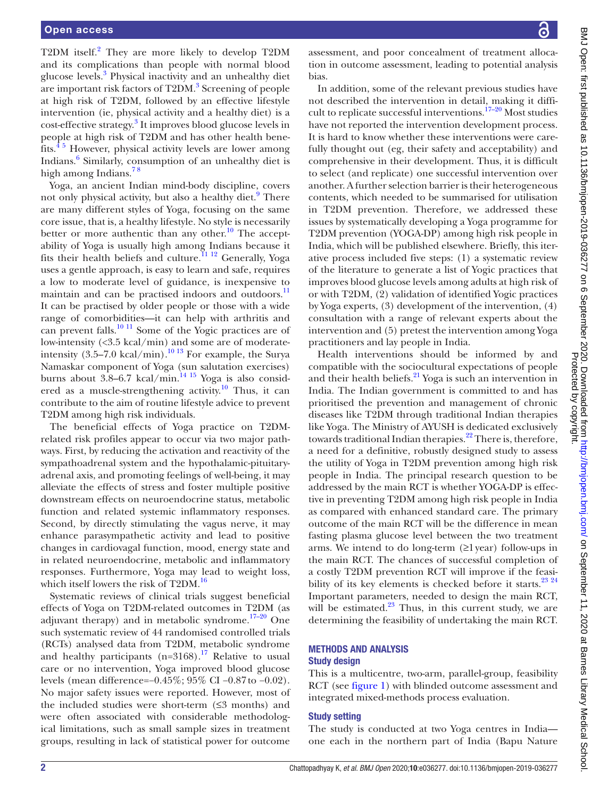T[2](#page-7-1)DM itself.<sup>2</sup> They are more likely to develop T2DM and its complications than people with normal blood glucose levels.<sup>[3](#page-7-2)</sup> Physical inactivity and an unhealthy diet are important risk factors of T2DM.<sup>[3](#page-7-2)</sup> Screening of people at high risk of T2DM, followed by an effective lifestyle intervention (ie, physical activity and a healthy diet) is a cost-effective strategy.<sup>[3](#page-7-2)</sup> It improves blood glucose levels in people at high risk of T2DM and has other health benefits.[4 5](#page-7-3) However, physical activity levels are lower among Indians.<sup>[6](#page-7-4)</sup> Similarly, consumption of an unhealthy diet is high among Indians.<sup>78</sup>

Yoga, an ancient Indian mind-body discipline, covers not only physical activity, but also a healthy diet.<sup>[9](#page-7-6)</sup> There are many different styles of Yoga, focusing on the same core issue, that is, a healthy lifestyle. No style is necessarily better or more authentic than any other.<sup>10</sup> The acceptability of Yoga is usually high among Indians because it fits their health beliefs and culture[.11 12](#page-7-8) Generally, Yoga uses a gentle approach, is easy to learn and safe, requires a low to moderate level of guidance, is inexpensive to maintain and can be practised indoors and outdoors.<sup>11</sup> It can be practised by older people or those with a wide range of comorbidities—it can help with arthritis and can prevent falls.<sup>[10 11](#page-7-7)</sup> Some of the Yogic practices are of low-intensity (<3.5 kcal/min) and some are of moderateintensity  $(3.5-7.0 \text{ kcal/min})$ .<sup>10 13</sup> For example, the Surya Namaskar component of Yoga (sun salutation exercises) burns about  $3.8-6.7$  kcal/min.<sup>14 15</sup> Yoga is also considered as a muscle-strengthening activity.<sup>10</sup> Thus, it can contribute to the aim of routine lifestyle advice to prevent T2DM among high risk individuals.

The beneficial effects of Yoga practice on T2DMrelated risk profiles appear to occur via two major pathways. First, by reducing the activation and reactivity of the sympathoadrenal system and the hypothalamic-pituitaryadrenal axis, and promoting feelings of well-being, it may alleviate the effects of stress and foster multiple positive downstream effects on neuroendocrine status, metabolic function and related systemic inflammatory responses. Second, by directly stimulating the vagus nerve, it may enhance parasympathetic activity and lead to positive changes in cardiovagal function, mood, energy state and in related neuroendocrine, metabolic and inflammatory responses. Furthermore, Yoga may lead to weight loss, which itself lowers the risk of T2DM.<sup>16</sup>

Systematic reviews of clinical trials suggest beneficial effects of Yoga on T2DM-related outcomes in T2DM (as adjuvant therapy) and in metabolic syndrome. $17-20$  One such systematic review of 44 randomised controlled trials (RCTs) analysed data from T2DM, metabolic syndrome and healthy participants (n= $3168$ ).<sup>17</sup> Relative to usual care or no intervention, Yoga improved blood glucose levels (mean difference=−0.45%; 95% CI −0.87to −0.02). No major safety issues were reported. However, most of the included studies were short-term  $(≤3$  months) and were often associated with considerable methodological limitations, such as small sample sizes in treatment groups, resulting in lack of statistical power for outcome

BMJ Open: first published as 10.1136/bmjopen-2019-036277 on 6 September 2020. Downloaded from http://bmjopen.bmj.com/ on September 11, 2020 at Barnes Library Medical School.<br>Protect strate published as 10.1136/bmjopen-2019 BMJ Open: first published as 10.1136/bmjopen-2019-036277 on 6 September 2020. Downloaded from <http://bmjopen.bmj.com/> on September 11, 2020 at Barnes Library Medical School. Protected by copyright.

assessment, and poor concealment of treatment allocation in outcome assessment, leading to potential analysis bias.

In addition, some of the relevant previous studies have not described the intervention in detail, making it difficult to replicate successful interventions.<sup>17-20</sup> Most studies have not reported the intervention development process. It is hard to know whether these interventions were carefully thought out (eg, their safety and acceptability) and comprehensive in their development. Thus, it is difficult to select (and replicate) one successful intervention over another. A further selection barrier is their heterogeneous contents, which needed to be summarised for utilisation in T2DM prevention. Therefore, we addressed these issues by systematically developing a Yoga programme for T2DM prevention (YOGA-DP) among high risk people in India, which will be published elsewhere. Briefly, this iterative process included five steps: (1) a systematic review of the literature to generate a list of Yogic practices that improves blood glucose levels among adults at high risk of or with T2DM, (2) validation of identified Yogic practices by Yoga experts, (3) development of the intervention, (4) consultation with a range of relevant experts about the intervention and (5) pretest the intervention among Yoga practitioners and lay people in India.

Health interventions should be informed by and compatible with the sociocultural expectations of people and their health beliefs.<sup>21</sup> Yoga is such an intervention in India. The Indian government is committed to and has prioritised the prevention and management of chronic diseases like T2DM through traditional Indian therapies like Yoga. The Ministry of AYUSH is dedicated exclusively towards traditional Indian therapies.<sup>22</sup> There is, therefore, a need for a definitive, robustly designed study to assess the utility of Yoga in T2DM prevention among high risk people in India. The principal research question to be addressed by the main RCT is whether YOGA-DP is effective in preventing T2DM among high risk people in India as compared with enhanced standard care. The primary outcome of the main RCT will be the difference in mean fasting plasma glucose level between the two treatment arms. We intend to do long-term  $(≥1$  year) follow-ups in the main RCT. The chances of successful completion of a costly T2DM prevention RCT will improve if the feasibility of its key elements is checked before it starts.<sup>23</sup><sup>24</sup> Important parameters, needed to design the main RCT, will be estimated. $23$  Thus, in this current study, we are determining the feasibility of undertaking the main RCT.

# METHODS AND ANALYSIS

# Study design

This is a multicentre, two-arm, parallel-group, feasibility RCT (see [figure](#page-3-0) 1) with blinded outcome assessment and integrated mixed-methods process evaluation.

#### Study setting

The study is conducted at two Yoga centres in India one each in the northern part of India (Bapu Nature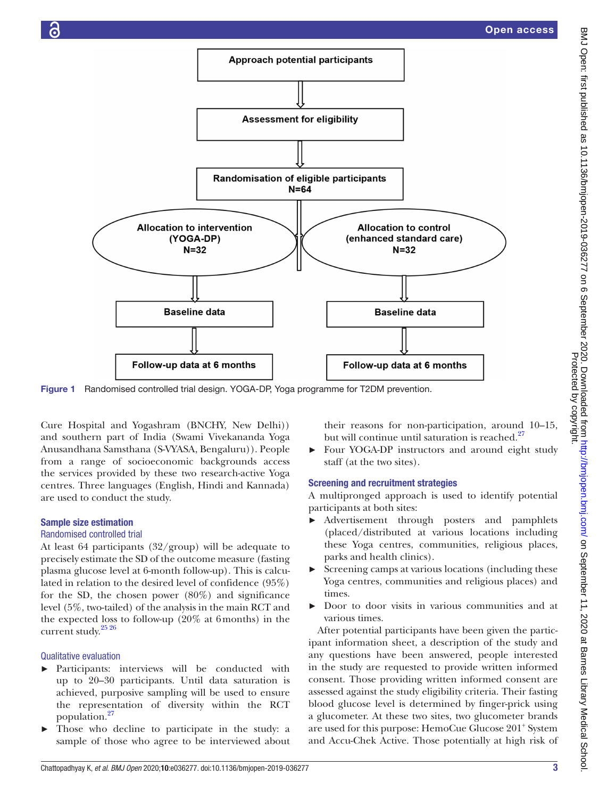

<span id="page-3-0"></span>Figure 1 Randomised controlled trial design. YOGA-DP, Yoga programme for T2DM prevention.

Cure Hospital and Yogashram (BNCHY, New Delhi)) and southern part of India (Swami Vivekananda Yoga Anusandhana Samsthana (S-VYASA, Bengaluru)). People from a range of socioeconomic backgrounds access the services provided by these two research-active Yoga centres. Three languages (English, Hindi and Kannada) are used to conduct the study.

#### Sample size estimation

#### Randomised controlled trial

At least 64 participants (32/group) will be adequate to precisely estimate the SD of the outcome measure (fasting plasma glucose level at 6-month follow-up). This is calculated in relation to the desired level of confidence (95%) for the SD, the chosen power (80%) and significance level (5%, two-tailed) of the analysis in the main RCT and the expected loss to follow-up (20% at 6months) in the current study.<sup>25</sup><sup>26</sup>

# Qualitative evaluation

- Participants: interviews will be conducted with up to 20–30 participants. Until data saturation is achieved, purposive sampling will be used to ensure the representation of diversity within the RCT population.[27](#page-8-7)
- Those who decline to participate in the study: a sample of those who agree to be interviewed about

their reasons for non-participation, around 10–15, but will continue until saturation is reached. $^{27}$  $^{27}$  $^{27}$ 

Four YOGA-DP instructors and around eight study staff (at the two sites).

#### Screening and recruitment strategies

A multipronged approach is used to identify potential participants at both sites:

- ► Advertisement through posters and pamphlets (placed/distributed at various locations including these Yoga centres, communities, religious places, parks and health clinics).
- ► Screening camps at various locations (including these Yoga centres, communities and religious places) and times.
- ► Door to door visits in various communities and at various times.

After potential participants have been given the participant information sheet, a description of the study and any questions have been answered, people interested in the study are requested to provide written informed consent. Those providing written informed consent are assessed against the study eligibility criteria. Their fasting blood glucose level is determined by finger-prick using a glucometer. At these two sites, two glucometer brands are used for this purpose: HemoCue Glucose 201<sup>+</sup> System and Accu-Chek Active. Those potentially at high risk of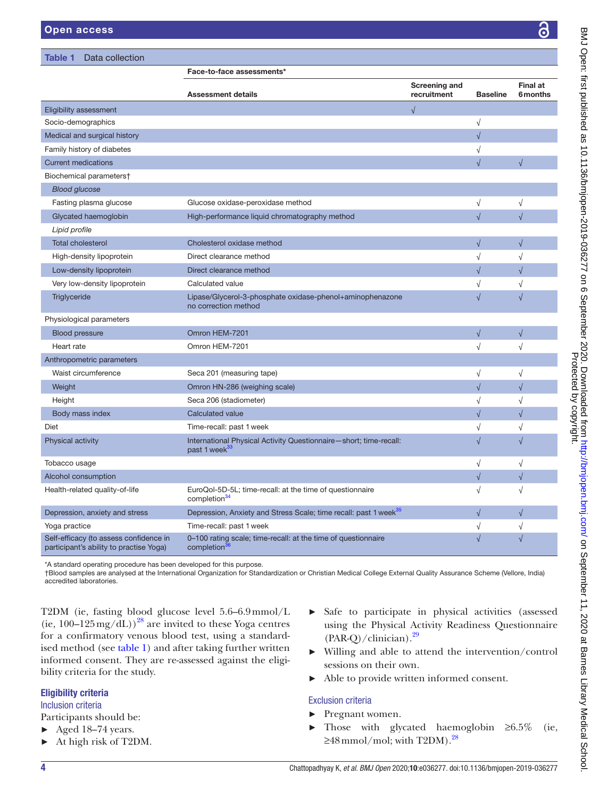<span id="page-4-0"></span>

| Table 1<br>Data collection                                                        |                                                                                                |                              |                 |                             |
|-----------------------------------------------------------------------------------|------------------------------------------------------------------------------------------------|------------------------------|-----------------|-----------------------------|
|                                                                                   | Face-to-face assessments*                                                                      |                              |                 |                             |
|                                                                                   | <b>Assessment details</b>                                                                      | Screening and<br>recruitment | <b>Baseline</b> | <b>Final at</b><br>6 months |
| Eligibility assessment                                                            |                                                                                                | $\sqrt{}$                    |                 |                             |
| Socio-demographics                                                                |                                                                                                |                              | $\sqrt{}$       |                             |
| Medical and surgical history                                                      |                                                                                                |                              | $\sqrt{}$       |                             |
| Family history of diabetes                                                        |                                                                                                |                              | $\sqrt{}$       |                             |
| <b>Current medications</b>                                                        |                                                                                                |                              | $\sqrt{}$       | $\sqrt{2}$                  |
| Biochemical parameters†                                                           |                                                                                                |                              |                 |                             |
| <b>Blood glucose</b>                                                              |                                                                                                |                              |                 |                             |
| Fasting plasma glucose                                                            | Glucose oxidase-peroxidase method                                                              |                              | $\sqrt{}$       | $\sqrt{}$                   |
| Glycated haemoglobin                                                              | High-performance liquid chromatography method                                                  |                              | $\sqrt{}$       | $\sqrt{}$                   |
| Lipid profile                                                                     |                                                                                                |                              |                 |                             |
| <b>Total cholesterol</b>                                                          | Cholesterol oxidase method                                                                     |                              | $\sqrt{}$       | $\sqrt{}$                   |
| High-density lipoprotein                                                          | Direct clearance method                                                                        |                              | $\sqrt{}$       | $\sqrt{}$                   |
| Low-density lipoprotein                                                           | Direct clearance method                                                                        |                              | $\sqrt{}$       | $\sqrt{}$                   |
| Very low-density lipoprotein                                                      | Calculated value                                                                               |                              | $\sqrt{}$       | $\sqrt{}$                   |
| Triglyceride                                                                      | Lipase/Glycerol-3-phosphate oxidase-phenol+aminophenazone<br>no correction method              |                              | $\sqrt{ }$      | $\sqrt{}$                   |
| Physiological parameters                                                          |                                                                                                |                              |                 |                             |
| <b>Blood pressure</b>                                                             | Omron HEM-7201                                                                                 |                              | $\sqrt{}$       | $\sqrt{}$                   |
| Heart rate                                                                        | Omron HEM-7201                                                                                 |                              | $\sqrt{}$       | $\sqrt{}$                   |
| Anthropometric parameters                                                         |                                                                                                |                              |                 |                             |
| Waist circumference                                                               | Seca 201 (measuring tape)                                                                      |                              | $\sqrt{}$       | $\sqrt{}$                   |
| Weight                                                                            | Omron HN-286 (weighing scale)                                                                  |                              | $\sqrt{}$       | $\sqrt{}$                   |
| Height                                                                            | Seca 206 (stadiometer)                                                                         |                              | $\sqrt{}$       | $\sqrt{}$                   |
| Body mass index                                                                   | Calculated value                                                                               |                              | $\sqrt{}$       | $\sqrt{}$                   |
| Diet                                                                              | Time-recall: past 1 week                                                                       |                              | $\sqrt{}$       | $\sqrt{}$                   |
| Physical activity                                                                 | International Physical Activity Questionnaire-short; time-recall:<br>past 1 week <sup>33</sup> |                              | $\sqrt{}$       | $\sqrt{}$                   |
| Tobacco usage                                                                     |                                                                                                |                              | $\sqrt{}$       | $\sqrt{}$                   |
| Alcohol consumption                                                               |                                                                                                |                              | $\sqrt{}$       | $\sqrt{}$                   |
| Health-related quality-of-life                                                    | EuroQol-5D-5L; time-recall: at the time of questionnaire<br>completion <sup>34</sup>           |                              | $\sqrt{}$       | $\sqrt{}$                   |
| Depression, anxiety and stress                                                    | Depression, Anxiety and Stress Scale; time recall: past 1 week <sup>35</sup>                   |                              | $\sqrt{}$       | $\sqrt{}$                   |
| Yoga practice                                                                     | Time-recall: past 1 week                                                                       |                              | $\sqrt{}$       | $\sqrt{}$                   |
| Self-efficacy (to assess confidence in<br>participant's ability to practise Yoga) | 0-100 rating scale; time-recall: at the time of questionnaire<br>completion <sup>36</sup>      |                              | $\sqrt{}$       | $\sqrt{}$                   |

\*A standard operating procedure has been developed for this purpose.

†Blood samples are analysed at the International Organization for Standardization or Christian Medical College External Quality Assurance Scheme (Vellore, India) accredited laboratories.

T2DM (ie, fasting blood glucose level 5.6–6.9mmol/L (ie,  $100-125 \,\text{mg/dL})^{28}$  are invited to these Yoga centres for a confirmatory venous blood test, using a standardised method (see [table](#page-4-0) 1) and after taking further written informed consent. They are re-assessed against the eligibility criteria for the study.

# Eligibility criteria

# Inclusion criteria

Participants should be:

- ► Aged 18–74 years.
- ► At high risk of T2DM.
- ► Safe to participate in physical activities (assessed using the Physical Activity Readiness Questionnaire  $(PAR-Q)/clinician$ .<sup>29</sup>
- ► Willing and able to attend the intervention/control sessions on their own.
- ► Able to provide written informed consent.

# Exclusion criteria

- ► Pregnant women.
- $\blacktriangleright$  Those with glycated haemoglobin ≥6.5% (ie,  $\geq$ 48 mmol/mol; with T2DM).<sup>28</sup>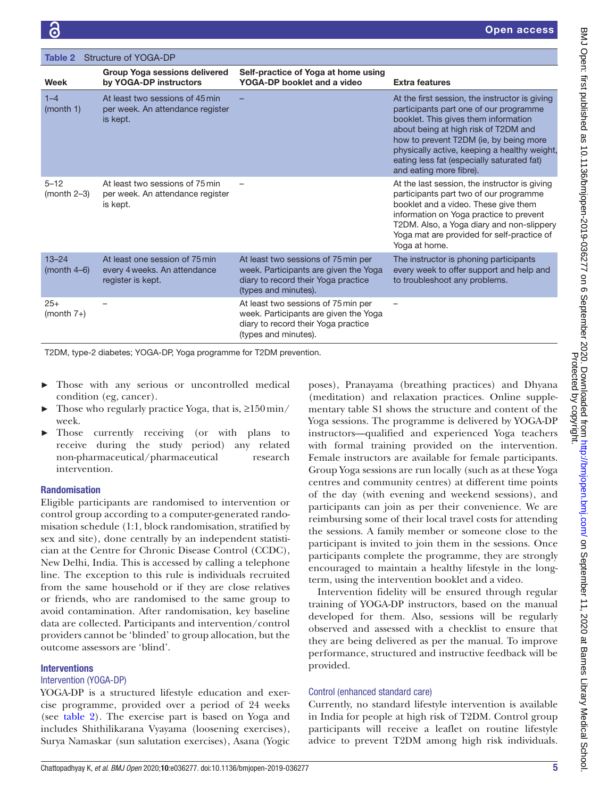<span id="page-5-0"></span>

| Structure of YOGA-DP<br>Table 2 |                                                                                     |                                                                                                                                             |                                                                                                                                                                                                                                                                                                                                             |  |  |  |
|---------------------------------|-------------------------------------------------------------------------------------|---------------------------------------------------------------------------------------------------------------------------------------------|---------------------------------------------------------------------------------------------------------------------------------------------------------------------------------------------------------------------------------------------------------------------------------------------------------------------------------------------|--|--|--|
| Week                            | <b>Group Yoga sessions delivered</b><br>by YOGA-DP instructors                      | Self-practice of Yoga at home using<br>YOGA-DP booklet and a video                                                                          | <b>Extra features</b>                                                                                                                                                                                                                                                                                                                       |  |  |  |
| $1 - 4$<br>(month 1)            | At least two sessions of 45 min<br>per week. An attendance register<br>is kept.     |                                                                                                                                             | At the first session, the instructor is giving<br>participants part one of our programme<br>booklet. This gives them information<br>about being at high risk of T2DM and<br>how to prevent T2DM (ie, by being more<br>physically active, keeping a healthy weight,<br>eating less fat (especially saturated fat)<br>and eating more fibre). |  |  |  |
| $5 - 12$<br>$(month 2-3)$       | At least two sessions of 75 min<br>per week. An attendance register<br>is kept.     |                                                                                                                                             | At the last session, the instructor is giving<br>participants part two of our programme<br>booklet and a video. These give them<br>information on Yoga practice to prevent<br>T2DM. Also, a Yoga diary and non-slippery<br>Yoga mat are provided for self-practice of<br>Yoga at home.                                                      |  |  |  |
| $13 - 24$<br>(month 4–6)        | At least one session of 75 min<br>every 4 weeks. An attendance<br>register is kept. | At least two sessions of 75 min per<br>week. Participants are given the Yoga<br>diary to record their Yoga practice<br>(types and minutes). | The instructor is phoning participants<br>every week to offer support and help and<br>to troubleshoot any problems.                                                                                                                                                                                                                         |  |  |  |
| $25+$<br>$(month 7+)$           |                                                                                     | At least two sessions of 75 min per<br>week. Participants are given the Yoga<br>diary to record their Yoga practice<br>(types and minutes). |                                                                                                                                                                                                                                                                                                                                             |  |  |  |

T2DM, type-2 diabetes; YOGA-DP, Yoga programme for T2DM prevention.

- Those with any serious or uncontrolled medical condition (eg, cancer).
- Those who regularly practice Yoga, that is,  $\geq 150 \text{min/s}$ week.
- Those currently receiving (or with plans to receive during the study period) any related non-pharmaceutical/pharmaceutical research intervention.

#### Randomisation

Eligible participants are randomised to intervention or control group according to a computer-generated randomisation schedule (1:1, block randomisation, stratified by sex and site), done centrally by an independent statistician at the Centre for Chronic Disease Control (CCDC), New Delhi, India. This is accessed by calling a telephone line. The exception to this rule is individuals recruited from the same household or if they are close relatives or friends, who are randomised to the same group to avoid contamination. After randomisation, key baseline data are collected. Participants and intervention/control providers cannot be 'blinded' to group allocation, but the outcome assessors are 'blind'.

#### **Interventions**

#### Intervention (YOGA-DP)

YOGA-DP is a structured lifestyle education and exercise programme, provided over a period of 24 weeks (see [table](#page-5-0) 2). The exercise part is based on Yoga and includes Shithilikarana Vyayama (loosening exercises), Surya Namaskar (sun salutation exercises), Asana (Yogic

poses), Pranayama (breathing practices) and Dhyana (meditation) and relaxation practices. [Online supple](https://dx.doi.org/10.1136/bmjopen-2019-036277)[mentary table S1](https://dx.doi.org/10.1136/bmjopen-2019-036277) shows the structure and content of the Yoga sessions. The programme is delivered by YOGA-DP instructors—qualified and experienced Yoga teachers with formal training provided on the intervention. Female instructors are available for female participants. Group Yoga sessions are run locally (such as at these Yoga centres and community centres) at different time points of the day (with evening and weekend sessions), and participants can join as per their convenience. We are reimbursing some of their local travel costs for attending the sessions. A family member or someone close to the participant is invited to join them in the sessions. Once participants complete the programme, they are strongly encouraged to maintain a healthy lifestyle in the longterm, using the intervention booklet and a video.

Intervention fidelity will be ensured through regular training of YOGA-DP instructors, based on the manual developed for them. Also, sessions will be regularly observed and assessed with a checklist to ensure that they are being delivered as per the manual. To improve performance, structured and instructive feedback will be provided.

#### Control (enhanced standard care)

Currently, no standard lifestyle intervention is available in India for people at high risk of T2DM. Control group participants will receive a leaflet on routine lifestyle advice to prevent T2DM among high risk individuals.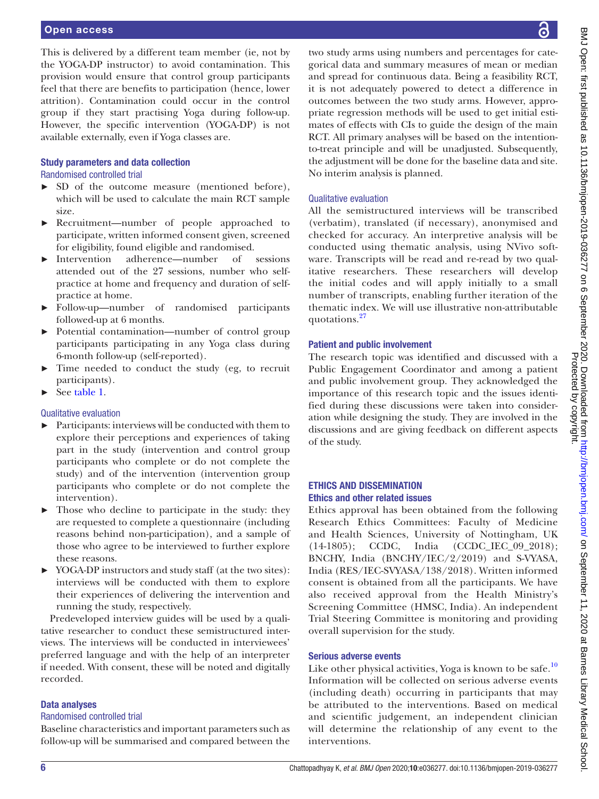#### Open access

This is delivered by a different team member (ie, not by the YOGA-DP instructor) to avoid contamination. This provision would ensure that control group participants feel that there are benefits to participation (hence, lower attrition). Contamination could occur in the control group if they start practising Yoga during follow-up. However, the specific intervention (YOGA-DP) is not available externally, even if Yoga classes are.

#### Study parameters and data collection

#### Randomised controlled trial

- ► SD of the outcome measure (mentioned before), which will be used to calculate the main RCT sample size.
- ► Recruitment—number of people approached to participate, written informed consent given, screened for eligibility, found eligible and randomised.
- ► Intervention adherence—number of sessions attended out of the 27 sessions, number who selfpractice at home and frequency and duration of selfpractice at home.
- ► Follow-up—number of randomised participants followed-up at 6 months.
- ► Potential contamination—number of control group participants participating in any Yoga class during 6-month follow-up (self-reported).
- Time needed to conduct the study (eg, to recruit participants).
- ► See [table](#page-4-0) 1.

#### Qualitative evaluation

- ► Participants: interviews will be conducted with them to explore their perceptions and experiences of taking part in the study (intervention and control group participants who complete or do not complete the study) and of the intervention (intervention group participants who complete or do not complete the intervention).
- Those who decline to participate in the study: they are requested to complete a questionnaire (including reasons behind non-participation), and a sample of those who agree to be interviewed to further explore these reasons.
- ► YOGA-DP instructors and study staff (at the two sites): interviews will be conducted with them to explore their experiences of delivering the intervention and running the study, respectively.

Predeveloped interview guides will be used by a qualitative researcher to conduct these semistructured interviews. The interviews will be conducted in interviewees' preferred language and with the help of an interpreter if needed. With consent, these will be noted and digitally recorded.

#### Data analyses

#### Randomised controlled trial

Baseline characteristics and important parameters such as follow-up will be summarised and compared between the

two study arms using numbers and percentages for categorical data and summary measures of mean or median and spread for continuous data. Being a feasibility RCT, it is not adequately powered to detect a difference in outcomes between the two study arms. However, appropriate regression methods will be used to get initial estimates of effects with CIs to guide the design of the main RCT. All primary analyses will be based on the intentionto-treat principle and will be unadjusted. Subsequently, the adjustment will be done for the baseline data and site. No interim analysis is planned.

#### Qualitative evaluation

All the semistructured interviews will be transcribed (verbatim), translated (if necessary), anonymised and checked for accuracy. An interpretive analysis will be conducted using thematic analysis, using NVivo software. Transcripts will be read and re-read by two qualitative researchers. These researchers will develop the initial codes and will apply initially to a small number of transcripts, enabling further iteration of the thematic index. We will use illustrative non-attributable quotations.<sup>[27](#page-8-7)</sup>

#### Patient and public involvement

The research topic was identified and discussed with a Public Engagement Coordinator and among a patient and public involvement group. They acknowledged the importance of this research topic and the issues identified during these discussions were taken into consideration while designing the study. They are involved in the discussions and are giving feedback on different aspects of the study.

#### ETHICS AND DISSEMINATION Ethics and other related issues

Ethics approval has been obtained from the following Research Ethics Committees: Faculty of Medicine and Health Sciences, University of Nottingham, UK (14-1805); CCDC, India (CCDC\_IEC\_09\_2018); BNCHY, India (BNCHY/IEC/2/2019) and S-VYASA, India (RES/IEC-SVYASA/138/2018). Written informed consent is obtained from all the participants. We have also received approval from the Health Ministry's Screening Committee (HMSC, India). An independent Trial Steering Committee is monitoring and providing overall supervision for the study.

#### Serious adverse events

Like other physical activities, Yoga is known to be safe.<sup>[10](#page-7-7)</sup> Information will be collected on serious adverse events (including death) occurring in participants that may be attributed to the interventions. Based on medical and scientific judgement, an independent clinician will determine the relationship of any event to the interventions.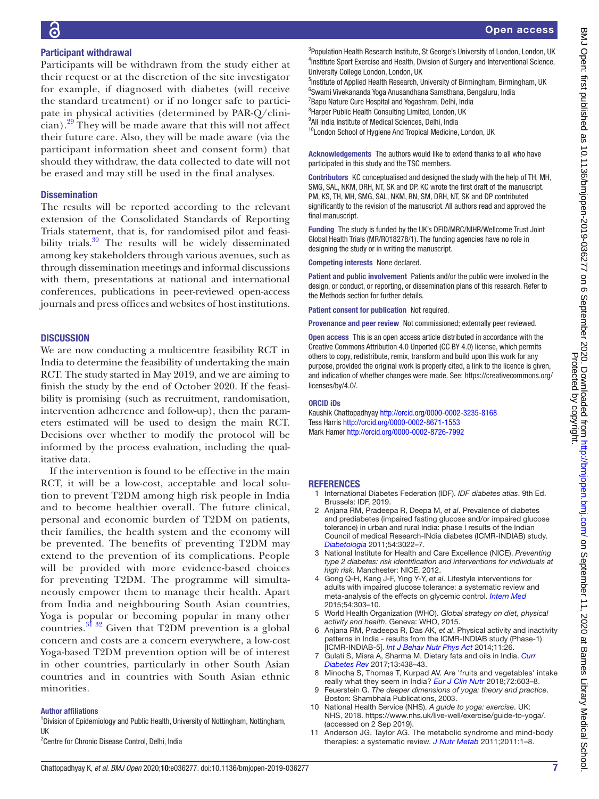# Participant withdrawal

Participants will be withdrawn from the study either at their request or at the discretion of the site investigator for example, if diagnosed with diabetes (will receive the standard treatment) or if no longer safe to participate in physical activities (determined by PAR-Q/clinician).[29](#page-8-9) They will be made aware that this will not affect their future care. Also, they will be made aware (via the participant information sheet and consent form) that should they withdraw, the data collected to date will not be erased and may still be used in the final analyses.

#### **Dissemination**

The results will be reported according to the relevant extension of the Consolidated Standards of Reporting Trials statement, that is, for randomised pilot and feasi-bility trials.<sup>[30](#page-8-14)</sup> The results will be widely disseminated among key stakeholders through various avenues, such as through dissemination meetings and informal discussions with them, presentations at national and international conferences, publications in peer-reviewed open-access journals and press offices and websites of host institutions.

#### **DISCUSSION**

We are now conducting a multicentre feasibility RCT in India to determine the feasibility of undertaking the main RCT. The study started in May 2019, and we are aiming to finish the study by the end of October 2020. If the feasibility is promising (such as recruitment, randomisation, intervention adherence and follow-up), then the parameters estimated will be used to design the main RCT. Decisions over whether to modify the protocol will be informed by the process evaluation, including the qualitative data.

If the intervention is found to be effective in the main RCT, it will be a low-cost, acceptable and local solution to prevent T2DM among high risk people in India and to become healthier overall. The future clinical, personal and economic burden of T2DM on patients, their families, the health system and the economy will be prevented. The benefits of preventing T2DM may extend to the prevention of its complications. People will be provided with more evidence-based choices for preventing T2DM. The programme will simultaneously empower them to manage their health. Apart from India and neighbouring South Asian countries, Yoga is popular or becoming popular in many other countries.[31 32](#page-8-15) Given that T2DM prevention is a global concern and costs are a concern everywhere, a low-cost Yoga-based T2DM prevention option will be of interest in other countries, particularly in other South Asian countries and in countries with South Asian ethnic minorities.

#### Author affiliations

<sup>1</sup> Division of Epidemiology and Public Health, University of Nottingham, Nottingham, UK

<sup>2</sup> Centre for Chronic Disease Control, Delhi, India

<sup>3</sup>Population Health Research Institute, St George's University of London, London, UK <sup>4</sup>Institute Sport Exercise and Health, Division of Surgery and Interventional Science, University College London, London, UK

<sup>5</sup>Institute of Applied Health Research, University of Birmingham, Birmingham, UK 6 Swami Vivekananda Yoga Anusandhana Samsthana, Bengaluru, India

<sup>7</sup> Bapu Nature Cure Hospital and Yogashram, Delhi, India

<sup>8</sup> Harper Public Health Consulting Limited, London, UK

<sup>9</sup>All India Institute of Medical Sciences, Delhi, India <sup>10</sup>London School of Hygiene And Tropical Medicine, London, UK

Acknowledgements The authors would like to extend thanks to all who have participated in this study and the TSC members.

Contributors KC conceptualised and designed the study with the help of TH, MH, SMG, SAL, NKM, DRH, NT, SK and DP. KC wrote the first draft of the manuscript. PM, KS, TH, MH, SMG, SAL, NKM, RN, SM, DRH, NT, SK and DP contributed significantly to the revision of the manuscript. All authors read and approved the final manuscript.

Funding The study is funded by the UK's DFID/MRC/NIHR/Wellcome Trust Joint Global Health Trials (MR/R018278/1). The funding agencies have no role in designing the study or in writing the manuscript.

Competing interests None declared.

Patient and public involvement Patients and/or the public were involved in the design, or conduct, or reporting, or dissemination plans of this research. Refer to the Methods section for further details.

Patient consent for publication Not required.

Provenance and peer review Not commissioned; externally peer reviewed.

Open access This is an open access article distributed in accordance with the Creative Commons Attribution 4.0 Unported (CC BY 4.0) license, which permits others to copy, redistribute, remix, transform and build upon this work for any purpose, provided the original work is properly cited, a link to the licence is given, and indication of whether changes were made. See: [https://creativecommons.org/](https://creativecommons.org/licenses/by/4.0/) [licenses/by/4.0/](https://creativecommons.org/licenses/by/4.0/).

#### ORCID iDs

Kaushik Chattopadhyay<http://orcid.org/0000-0002-3235-8168> Tess Harris<http://orcid.org/0000-0002-8671-1553> Mark Hamer<http://orcid.org/0000-0002-8726-7992>

#### **REFERENCES**

- <span id="page-7-0"></span>1 International Diabetes Federation (IDF). *IDF diabetes atlas*. 9th Ed. Brussels: IDF, 2019.
- <span id="page-7-1"></span>2 Anjana RM, Pradeepa R, Deepa M, *et al*. Prevalence of diabetes and prediabetes (impaired fasting glucose and/or impaired glucose tolerance) in urban and rural India: phase I results of the Indian Council of medical Research-INdia diabetes (ICMR-INDIAB) study. *[Diabetologia](http://dx.doi.org/10.1007/s00125-011-2291-5)* 2011;54:3022–7.
- <span id="page-7-2"></span>3 National Institute for Health and Care Excellence (NICE). *Preventing type 2 diabetes: risk identification and interventions for individuals at high risk*. Manchester: NICE, 2012.
- <span id="page-7-3"></span>4 Gong Q-H, Kang J-F, Ying Y-Y, *et al*. Lifestyle interventions for adults with impaired glucose tolerance: a systematic review and meta-analysis of the effects on glycemic control. *[Intern Med](http://dx.doi.org/10.2169/internalmedicine.54.2745)* 2015;54:303–10.
- 5 World Health Organization (WHO). *Global strategy on diet, physical activity and health*. Geneva: WHO, 2015.
- <span id="page-7-4"></span>6 Anjana RM, Pradeepa R, Das AK, *et al*. Physical activity and inactivity patterns in India - results from the ICMR-INDIAB study (Phase-1) [ICMR-INDIAB-5]. *[Int J Behav Nutr Phys Act](http://dx.doi.org/10.1186/1479-5868-11-26)* 2014;11:26.
- <span id="page-7-5"></span>7 Gulati S, Misra A, Sharma M. Dietary fats and oils in India. *[Curr](http://dx.doi.org/10.2174/1573399812666160811165712)  [Diabetes Rev](http://dx.doi.org/10.2174/1573399812666160811165712)* 2017;13:438–43.
- <span id="page-7-6"></span>8 Minocha S, Thomas T, Kurpad AV. Are 'fruits and vegetables' intake really what they seem in India? *[Eur J Clin Nutr](http://dx.doi.org/10.1038/s41430-018-0094-1)* 2018;72:603–8.
	- 9 Feuerstein G. *The deeper dimensions of yoga: theory and practice*. Boston: Shambhala Publications, 2003.
- <span id="page-7-7"></span>10 National Health Service (NHS). *A guide to yoga: exercise*. UK: NHS, 2018. [https://www.nhs.uk/live-well/exercise/guide-to-yoga/.](https://www.nhs.uk/live-well/exercise/guide-to-yoga/) (accessed on 2 Sep 2019).
- <span id="page-7-8"></span>11 Anderson JG, Taylor AG. The metabolic syndrome and mind-body therapies: a systematic review. *[J Nutr Metab](http://dx.doi.org/10.1155/2011/276419)* 2011;2011:1–8.